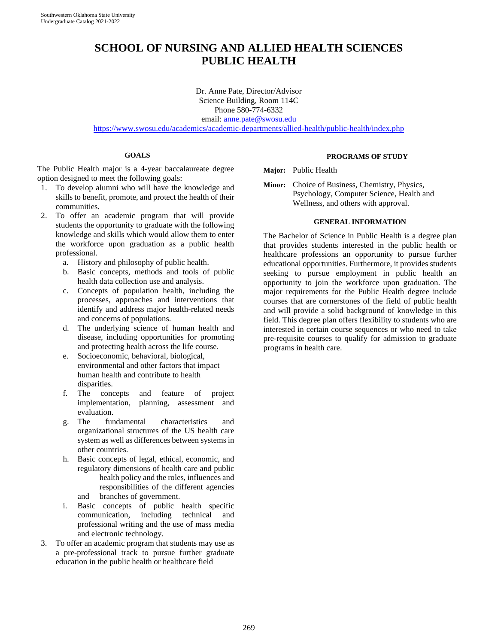# **SCHOOL OF NURSING AND ALLIED HEALTH SCIENCES PUBLIC HEALTH**

Dr. Anne Pate, Director/Advisor Science Building, Room 114C Phone 580-774-6332 email: [anne.pate@swosu.edu](mailto:anne.pate@swosu.edu) <https://www.swosu.edu/academics/academic-departments/allied-health/public-health/index.php>

## **GOALS**

The Public Health major is a 4-year baccalaureate degree option designed to meet the following goals:

- 1. To develop alumni who will have the knowledge and skills to benefit, promote, and protect the health of their communities.
- 2. To offer an academic program that will provide students the opportunity to graduate with the following knowledge and skills which would allow them to enter the workforce upon graduation as a public health professional.
	- a. History and philosophy of public health.
	- b. Basic concepts, methods and tools of public health data collection use and analysis.
	- c. Concepts of population health, including the processes, approaches and interventions that identify and address major health-related needs and concerns of populations.
	- d. The underlying science of human health and disease, including opportunities for promoting and protecting health across the life course.
	- e. Socioeconomic, behavioral, biological, environmental and other factors that impact human health and contribute to health disparities.
	- f. The concepts and feature of project implementation, planning, assessment and evaluation.
	- g. The fundamental characteristics and organizational structures of the US health care system as well as differences between systems in other countries.
	- h. Basic concepts of legal, ethical, economic, and regulatory dimensions of health care and public health policy and the roles, influences and responsibilities of the different agencies and branches of government.
	- i. Basic concepts of public health specific communication, including technical and professional writing and the use of mass media and electronic technology.
- 3. To offer an academic program that students may use as a pre-professional track to pursue further graduate education in the public health or healthcare field

## **PROGRAMS OF STUDY**

**Major:** Public Health

**Minor:** Choice of Business, Chemistry, Physics, Psychology, Computer Science, Health and Wellness, and others with approval.

## **GENERAL INFORMATION**

The Bachelor of Science in Public Health is a degree plan that provides students interested in the public health or healthcare professions an opportunity to pursue further educational opportunities. Furthermore, it provides students seeking to pursue employment in public health an opportunity to join the workforce upon graduation. The major requirements for the Public Health degree include courses that are cornerstones of the field of public health and will provide a solid background of knowledge in this field. This degree plan offers flexibility to students who are interested in certain course sequences or who need to take pre-requisite courses to qualify for admission to graduate programs in health care.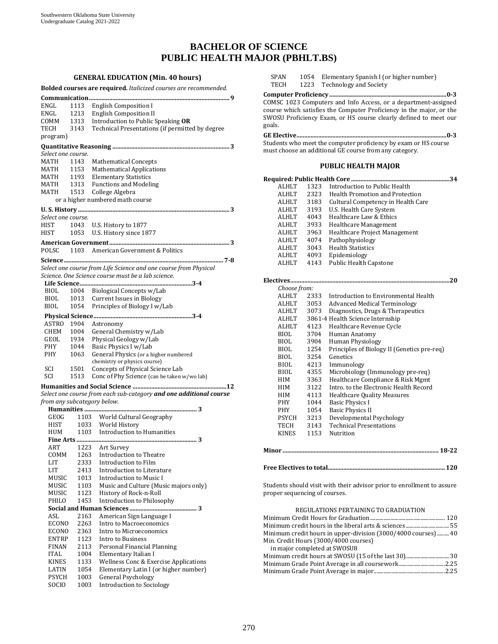## **BACHELOR OF SCIENCE PUBLIC HEALTH MAJOR (PBHLT.BS)**

**GENERAL EDUCATION (Min. 40 hours) Bolded courses are required.** *Italicized courses are recommended.* **Communication.......................................................................................... 9**  ENGL 1113 English Composition I<br>ENGL 1213 English Composition II ENGL 1213 English Composition II<br>COMM 1313 Introduction to Public St COMM 1313 Introduction to Public Speaking **OR** 3143 Technical Presentations (if permitted by degree program) **Quantitative Reasoning ........................................................................... 3**  *Select one course.* MATH 1143 Mathematical Concepts<br>MATH 1153 Mathematical Applicatio MATH 1153 Mathematical Applications<br>MATH 1193 Elementary Statistics MATH 1193 Elementary Statistics<br>MATH 1313 Functions and Modeli MATH 1313 Functions and Modeling<br>MATH 1513 College Algebra 1513 College Algebra or a higher numbered math course **U. S. History ................................................................................................. 3**  *Select one course.* HIST 1043 U.S. History to 1877<br>HIST 1053 U.S. History since 18 1053 U.S. History since 1877 **American Government............................................................................. 3**  POLSC 1103 American Government & Politics **Science...................................................................................................... 7-8**  *Select one course from Life Science and one course from Physical Science. One Science course must be a lab science.* **Life Science........................................................................ 3-4**  BIOL 1004 Biological Concepts w/Lab<br>BIOL 1013 Current Issues in Biology BIOL 1013 Current Issues in Biology<br>BIOL 1054 Principles of Biology I w/ 1054 Principles of Biology I w/Lab **Physical Science............................................................... 3-4**  ASTRO 1904 Astronomy<br>CHEM 1004 General Che CHEM 1004 General Chemistry w/Lab<br>GEOL 1934 Physical Geology w/Lab GEOL 1934 Physical Geology w/Lab<br>PHY 1044 Basic Physics I w/Lab PHY 1044 Basic Physics I w/Lab<br>PHY 1063 General Physics (or a h General Physics (or a higher numbered chemistry or physics course) SCI 1501 Concepts of Physical Science Lab<br>SCI 1513 Conc of Phy Science Can be taken y 1513 Conc of Phy Science (can be taken w/wo lab) **Humanities and Social Science ............................................................12** *Select one course from each sub-category and one additional course from any subcategory below.* **Humanities** .......<br>GEOG 1103 GEOG 1103 World Cultural Geography<br>HIST 1033 World History HIST 1033 World History<br>HUM 1103 Introduction to 1103 Introduction to Humanities **Fine Arts ............................................................................. 3**  ART 1223 Art Survey<br>COMM 1263 Introduction COMM 1263 Introduction to Theatre<br>LIT 2333 Introduction to Film LIT 2333 Introduction to Film<br>LIT 2413 Introduction to Litera LIT 2413 Introduction to Literature<br>MIISIC 1013 Introduction to Music I MUSIC 1013 Introduction to Music I<br>MUSIC 1103 Music and Culture (Mus MUSIC 1103 Music and Culture (Music majors only)<br>MUSIC 1123 History of Rock-n-Roll MUSIC 1123 History of Rock-n-Roll<br>PHILO 1453 Introduction to Philoso Introduction to Philosophy **Social and Human Sciences ........................................... 3**  ASL 2163 American Sign Language I<br>ECONO 2263 Intro to Macroeconomics ECONO 2263 Intro to Macroeconomics<br>ECONO 2363 Intro to Microeconomics ECONO 2363 Intro to Microeconomics<br>ENTRP 1123 Intro to Business

ENTRP 1123 Intro to Business<br>FINAN 2113 Personal Financia

PSYCH 1003 General Psychology<br>SOCIO 1003 Introduction to Soci

FINAN 2113 Personal Financial Planning<br>ITAL 1004 Elementary Italian I ITAL 1004 Elementary Italian I<br>KINES 1133 Wellness Conc & Exe

KINES 1133 Wellness Conc & Exercise Applications<br>LATIN 1054 Elementary Latin I (or higher number) LATIN 1054 Elementary Latin I (or higher number)<br>PSYCH 1003 General Psychology

Introduction to Sociology

BIOL 4355 Microbiology (Immunology pre-req) PHY 1044 Basic Physics I PHY 1054 Basic Physics II PSYCH 3213 Developmental Psychology TECH 3143 Technical Presentations KINES 1153 Nutrition **Minor .................................................................................................... 18-22** REGULATIONS PERTAINING TO GRADUATION Minimum Credit Hours for Graduation....................................................... 120 Minimum credit hours in the liberal arts & sciences................................55 Minimum credit hours in upper-division (3000/4000 courses).........40 Min. Credit Hours (3000/4000 courses) in major completed at SWOSU8 Minimum credit hours at SWOSU (15 of the last 30)................................30 Minimum Grade Point Average in all coursework..................................2.25 Minimum Grade Point Average in major....................................................2.25

course which satisfies the Computer Proficiency in the major, or the SWOSU Proficiency Exam, or HS course clearly defined to meet our goals. **GE Elective................................................................................................ 0-3**  Students who meet the computer proficiency by exam or HS course must choose an additional GE course from any category. **PUBLIC HEALTH MAJOR Required: Public Health Core ...............................................................34** ALHLT 1323 Introduction to Public Health<br>ALHLT 2323 Health Promotion and Protecti 2323 Health Promotion and Protection

SPAN 1054 Elementary Spanish I (or higher number)<br>TECH 1223 Technology and Society Technology and Society **Computer Proficiency........................................................................... 0-3**  COMSC 1023 Computers and Info Access, or a department-assigned

|       | <b>ALHLT</b> | 3183 | Cultural Competency in Health Care          |  |  |  |  |
|-------|--------------|------|---------------------------------------------|--|--|--|--|
|       | <b>ALHLT</b> | 3193 | U.S. Health Care System                     |  |  |  |  |
|       | ALHLT        | 4043 | Healthcare Law & Ethics                     |  |  |  |  |
|       | ALHLT        | 3933 | Healthcare Management                       |  |  |  |  |
|       | ALHLT        | 3963 | Healthcare Project Management               |  |  |  |  |
|       | <b>ALHLT</b> | 4074 | Pathophysiology                             |  |  |  |  |
|       | ALHLT        | 3043 | <b>Health Statistics</b>                    |  |  |  |  |
|       | ALHLT        | 4093 | Epidemiology                                |  |  |  |  |
|       | ALHLT        | 4143 | <b>Public Health Capstone</b>               |  |  |  |  |
|       |              |      |                                             |  |  |  |  |
|       | Choose from: |      |                                             |  |  |  |  |
|       | ALHLT        | 2333 | Introduction to Environmental Health        |  |  |  |  |
|       | ALHLT        | 3053 | <b>Advanced Medical Terminology</b>         |  |  |  |  |
|       | ALHLT        | 3073 | Diagnostics, Drugs & Therapeutics           |  |  |  |  |
|       | <b>ALHLT</b> |      | 3861-4 Health Science Internship            |  |  |  |  |
|       | <b>ALHLT</b> | 4123 | Healthcare Revenue Cycle                    |  |  |  |  |
|       | <b>BIOL</b>  | 3704 | Human Anatomy                               |  |  |  |  |
|       | BIOL         | 3904 | <b>Human Physiology</b>                     |  |  |  |  |
|       | BIOL         | 1254 | Principles of Biology II (Genetics pre-req) |  |  |  |  |
|       | <b>BIOL</b>  | 3254 | Genetics                                    |  |  |  |  |
|       | BIOL         | 4213 | Immunology                                  |  |  |  |  |
|       | <b>BIOL</b>  | 4355 | Microbiology (Immunology pre-req)           |  |  |  |  |
|       | HIM          | 3363 | Healthcare Compliance & Risk Mgmt           |  |  |  |  |
|       | HIM          | 3122 | Intro, to the Electronic Health Record      |  |  |  |  |
|       | HIM          | 4113 | <b>Healthcare Quality Measures</b>          |  |  |  |  |
|       | PHY          | 1044 | <b>Basic Physics I</b>                      |  |  |  |  |
|       | <b>PHY</b>   | 1054 | <b>Basic Physics II</b>                     |  |  |  |  |
|       | <b>PSYCH</b> | 3213 | Developmental Psychology                    |  |  |  |  |
|       | TECH         | 3143 | <b>Technical Presentations</b>              |  |  |  |  |
|       | <b>KINES</b> | 1153 | Nutrition                                   |  |  |  |  |
|       |              |      |                                             |  |  |  |  |
| Minor |              |      | 18-22                                       |  |  |  |  |

#### **Free Electives to total...........................................................................120**

Students should visit with their advisor prior to enrollment to assure proper sequencing of courses.